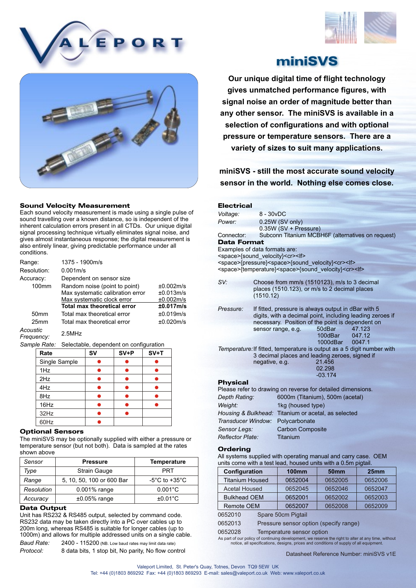





## Sound Velocity Measurement

Each sound velocity measurement is made using a single pulse of sound travelling over a known distance, so is independent of the inherent calculation errors present in all CTDs. Our unique digital signal processing technique virtually eliminates signal noise, and gives almost instantaneous response; the digital measurement is also entirely linear, giving predictable performance under all conditions.

| Range:           | 1375 - 1900m/s                     |           |
|------------------|------------------------------------|-----------|
| Resolution:      | 0.001 <sub>m/s</sub>               |           |
| Accuracy:        | Dependent on sensor size           |           |
| $100$ mm         | Random noise (point to point)      | ±0.002m/s |
|                  | Max systematic calibration error   | ±0.013m/s |
|                  | Max systematic clock error         | ±0.002m/s |
|                  | <b>Total max theoretical error</b> | ±0.017m/s |
| 50 <sub>mm</sub> | Total max theoretical error        | ±0.019m/s |
| 25 <sub>mm</sub> | Total max theoretical error        | ±0.020m/s |
| $\cdot$          |                                    |           |

*Acoustic* 2.5MHz *Frequency:*

*Sample Rate:* Selectable, dependent on configuration

| Rate          | SV | $SV+P$ | $SV+T$ |
|---------------|----|--------|--------|
| Single Sample |    |        |        |
| 1Hz           |    |        |        |
| 2Hz           |    |        |        |
| 4Hz           |    |        |        |
| 8Hz           |    |        |        |
| 16Hz          |    |        |        |
| 32Hz          |    |        |        |
| 60Hz          |    |        |        |

## Optional Sensors

The miniSVS may be optionally supplied with either a pressure or temperature sensor (but not both). Data is sampled at the rates shown above

| Sensor     | <b>Pressure</b>           | <b>Temperature</b>                |
|------------|---------------------------|-----------------------------------|
| Type       | <b>Strain Gauge</b>       | PRT                               |
| Range      | 5, 10, 50, 100 or 600 Bar | $-5^{\circ}$ C to $+35^{\circ}$ C |
| Resolution | $0.001\%$ range           | $0.001^{\circ}$ C                 |
| Accuracy   | $±0.05\%$ range           | $±0.01^{\circ}$ C                 |

## Data Output

Unit has RS232 & RS485 output, selected by command code. RS232 data may be taken directly into a PC over cables up to 200m long, whereas RS485 is suitable for longer cables (up to 1000m) and allows for multiple addressed units on a single cable.

*Baud Rate:* 2400 - 115200 (NB. Low baud rates may limit data rate) *Protocol:* 8 data bits, 1 stop bit, No parity, No flow control miniSVS

**Our unique digital time of flight technology gives unmatched performance figures, with signal noise an order of magnitude better than any other sensor. The miniSVS is available in a selection of configurations and with optional pressure or temperature sensors. There are a variety of sizes to suit many applications.**

**miniSVS - still the most accurate sound velocity sensor in the world. Nothing else comes close.**

| <b>Electrical</b>                                                                  |                                                     |                                                                               |                 |                                                                        |
|------------------------------------------------------------------------------------|-----------------------------------------------------|-------------------------------------------------------------------------------|-----------------|------------------------------------------------------------------------|
| Voltage:                                                                           | $8 - 30vDC$                                         |                                                                               |                 |                                                                        |
| Power:                                                                             |                                                     | 0.25W (SV only)                                                               |                 |                                                                        |
|                                                                                    |                                                     | 0.35W (SV + Pressure)                                                         |                 |                                                                        |
| Connector:                                                                         |                                                     |                                                                               |                 | Subconn Titanium MCBH6F (alternatives on request)                      |
| <b>Data Format</b>                                                                 |                                                     |                                                                               |                 |                                                                        |
| Examples of data formats are:<br><space>{sound velocity}<cr><lf></lf></cr></space> |                                                     |                                                                               |                 |                                                                        |
|                                                                                    |                                                     | <space>{pressure}<space>{sound velocity}<cr><lf></lf></cr></space></space>    |                 |                                                                        |
|                                                                                    |                                                     | <space>{temperature}<space>{sound velocity}<cr><lf></lf></cr></space></space> |                 |                                                                        |
| SV:                                                                                |                                                     | Choose from mm/s (1510123), m/s to 3 decimal                                  |                 |                                                                        |
|                                                                                    |                                                     | places (1510.123), or m/s to 2 decimal places                                 |                 |                                                                        |
|                                                                                    | (1510.12)                                           |                                                                               |                 |                                                                        |
| Pressure:                                                                          |                                                     | If fitted, pressure is always output in dBar with 5                           |                 |                                                                        |
|                                                                                    |                                                     |                                                                               |                 | digits, with a decimal point, including leading zeroes if              |
|                                                                                    |                                                     | necessary. Position of the point is dependent on                              |                 |                                                                        |
|                                                                                    |                                                     | sensor range, e.g.                                                            | 50dBar          | 47.123                                                                 |
|                                                                                    |                                                     |                                                                               | 100dBar         | 047.12                                                                 |
|                                                                                    |                                                     |                                                                               | 1000dBar 0047.1 |                                                                        |
|                                                                                    |                                                     | 3 decimal places and leading zeroes, signed if                                |                 | Temperature: If fitted, temperature is output as a 5 digit number with |
|                                                                                    | negative, e.g.                                      |                                                                               | 21.456          |                                                                        |
|                                                                                    |                                                     |                                                                               | 02.298          |                                                                        |
|                                                                                    |                                                     |                                                                               | $-03.174$       |                                                                        |
| <b>Physical</b>                                                                    |                                                     |                                                                               |                 |                                                                        |
| Please refer to drawing on reverse for detailed dimensions.                        |                                                     |                                                                               |                 |                                                                        |
| Depth Rating:                                                                      | 6000m (Titanium), 500m (acetal)                     |                                                                               |                 |                                                                        |
| Weight:                                                                            | 1kg (housed type)                                   |                                                                               |                 |                                                                        |
|                                                                                    | Housing & Bulkhead: Titanium or acetal, as selected |                                                                               |                 |                                                                        |
| Transducer Window: Polycarbonate                                                   |                                                     |                                                                               |                 |                                                                        |
| Sensor Legs:                                                                       | <b>Carbon Composite</b>                             |                                                                               |                 |                                                                        |
| <b>Reflector Plate:</b>                                                            |                                                     | Titanium                                                                      |                 |                                                                        |
| Ordering                                                                           |                                                     |                                                                               |                 |                                                                        |

All systems supplied with operating manual and carry case. OEM units come with a test lead, housed units with a 0.5m pigtail.

| Configuration          |                                        | <b>100mm</b>       | <b>50mm</b> | 25mm    |
|------------------------|----------------------------------------|--------------------|-------------|---------|
| <b>Titanium Housed</b> |                                        | 0652004            | 0652005     | 0652006 |
| <b>Acetal Housed</b>   |                                        | 0652045            | 0652046     | 0652047 |
| <b>Bulkhead OEM</b>    |                                        | 0652001            | 0652002     | 0652003 |
| <b>Remote OEM</b>      |                                        | 0652007            | 0652008     | 0652009 |
| 0652010                |                                        | Spare 50cm Pigtail |             |         |
| 0652013                | Pressure sensor option (specify range) |                    |             |         |

0652028 Temperature sensor option

As part of our policy of continuing development, we reserve the right to alter at any time, without notice, all specifications, designs, prices and conditions of supply of all equipment.

Datasheet Reference Number: miniSVS v1E